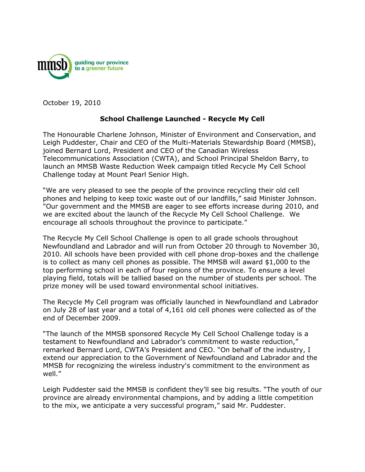

October 19, 2010

## **School Challenge Launched - Recycle My Cell**

The Honourable Charlene Johnson, Minister of Environment and Conservation, and Leigh Puddester, Chair and CEO of the Multi-Materials Stewardship Board (MMSB), joined Bernard Lord, President and CEO of the Canadian Wireless Telecommunications Association (CWTA), and School Principal Sheldon Barry, to launch an MMSB Waste Reduction Week campaign titled Recycle My Cell School Challenge today at Mount Pearl Senior High.

"We are very pleased to see the people of the province recycling their old cell phones and helping to keep toxic waste out of our landfills," said Minister Johnson. "Our government and the MMSB are eager to see efforts increase during 2010, and we are excited about the launch of the Recycle My Cell School Challenge. We encourage all schools throughout the province to participate."

The Recycle My Cell School Challenge is open to all grade schools throughout Newfoundland and Labrador and will run from October 20 through to November 30, 2010. All schools have been provided with cell phone drop-boxes and the challenge is to collect as many cell phones as possible. The MMSB will award \$1,000 to the top performing school in each of four regions of the province. To ensure a level playing field, totals will be tallied based on the number of students per school. The prize money will be used toward environmental school initiatives.

The Recycle My Cell program was officially launched in Newfoundland and Labrador on July 28 of last year and a total of 4,161 old cell phones were collected as of the end of December 2009.

"The launch of the MMSB sponsored Recycle My Cell School Challenge today is a testament to Newfoundland and Labrador's commitment to waste reduction," remarked Bernard Lord, CWTA's President and CEO. "On behalf of the industry, I extend our appreciation to the Government of Newfoundland and Labrador and the MMSB for recognizing the wireless industry's commitment to the environment as well."

Leigh Puddester said the MMSB is confident they'll see big results. "The youth of our province are already environmental champions, and by adding a little competition to the mix, we anticipate a very successful program," said Mr. Puddester.